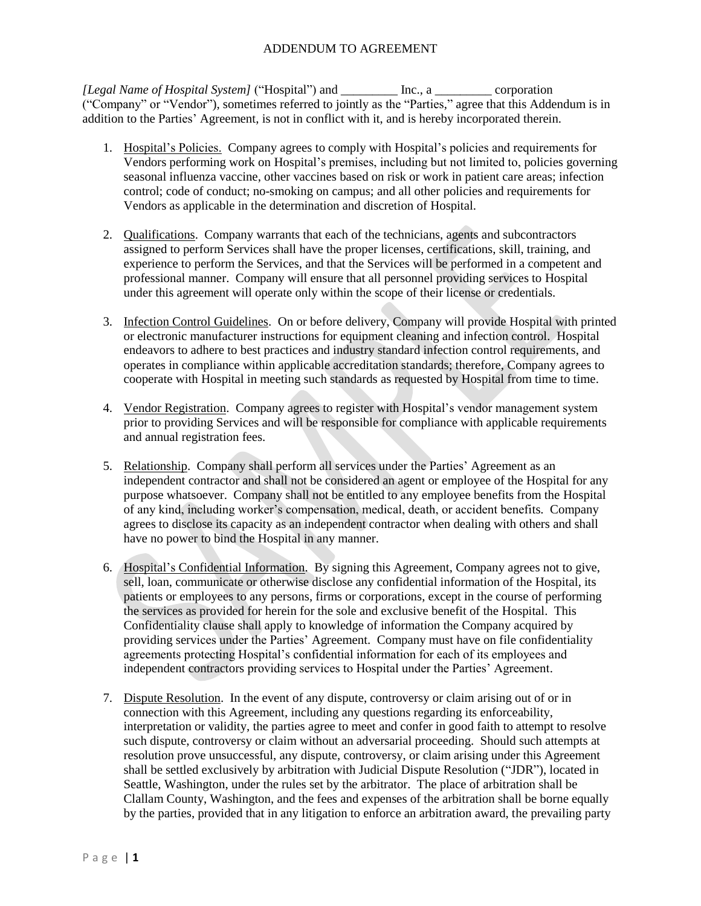## ADDENDUM TO AGREEMENT

*[Legal Name of Hospital System]* ("Hospital") and \_\_\_\_\_\_\_\_\_ Inc., a \_\_\_\_\_\_\_\_\_ corporation ("Company" or "Vendor"), sometimes referred to jointly as the "Parties," agree that this Addendum is in addition to the Parties' Agreement, is not in conflict with it, and is hereby incorporated therein.

- 1. Hospital's Policies. Company agrees to comply with Hospital's policies and requirements for Vendors performing work on Hospital's premises, including but not limited to, policies governing seasonal influenza vaccine, other vaccines based on risk or work in patient care areas; infection control; code of conduct; no-smoking on campus; and all other policies and requirements for Vendors as applicable in the determination and discretion of Hospital.
- 2. Qualifications. Company warrants that each of the technicians, agents and subcontractors assigned to perform Services shall have the proper licenses, certifications, skill, training, and experience to perform the Services, and that the Services will be performed in a competent and professional manner. Company will ensure that all personnel providing services to Hospital under this agreement will operate only within the scope of their license or credentials.
- 3. Infection Control Guidelines. On or before delivery, Company will provide Hospital with printed or electronic manufacturer instructions for equipment cleaning and infection control. Hospital endeavors to adhere to best practices and industry standard infection control requirements, and operates in compliance within applicable accreditation standards; therefore, Company agrees to cooperate with Hospital in meeting such standards as requested by Hospital from time to time.
- 4. Vendor Registration. Company agrees to register with Hospital's vendor management system prior to providing Services and will be responsible for compliance with applicable requirements and annual registration fees.
- 5. Relationship. Company shall perform all services under the Parties' Agreement as an independent contractor and shall not be considered an agent or employee of the Hospital for any purpose whatsoever. Company shall not be entitled to any employee benefits from the Hospital of any kind, including worker's compensation, medical, death, or accident benefits. Company agrees to disclose its capacity as an independent contractor when dealing with others and shall have no power to bind the Hospital in any manner.
- 6. Hospital's Confidential Information. By signing this Agreement, Company agrees not to give, sell, loan, communicate or otherwise disclose any confidential information of the Hospital, its patients or employees to any persons, firms or corporations, except in the course of performing the services as provided for herein for the sole and exclusive benefit of the Hospital. This Confidentiality clause shall apply to knowledge of information the Company acquired by providing services under the Parties' Agreement. Company must have on file confidentiality agreements protecting Hospital's confidential information for each of its employees and independent contractors providing services to Hospital under the Parties' Agreement.
- 7. Dispute Resolution. In the event of any dispute, controversy or claim arising out of or in connection with this Agreement, including any questions regarding its enforceability, interpretation or validity, the parties agree to meet and confer in good faith to attempt to resolve such dispute, controversy or claim without an adversarial proceeding. Should such attempts at resolution prove unsuccessful, any dispute, controversy, or claim arising under this Agreement shall be settled exclusively by arbitration with Judicial Dispute Resolution ("JDR"), located in Seattle, Washington, under the rules set by the arbitrator. The place of arbitration shall be Clallam County, Washington, and the fees and expenses of the arbitration shall be borne equally by the parties, provided that in any litigation to enforce an arbitration award, the prevailing party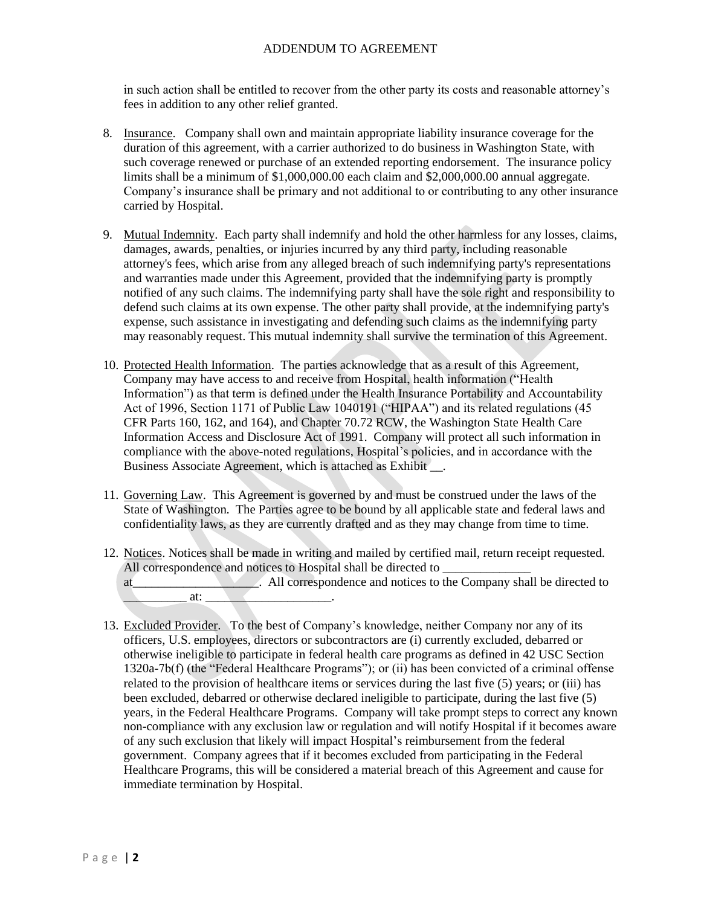## ADDENDUM TO AGREEMENT

in such action shall be entitled to recover from the other party its costs and reasonable attorney's fees in addition to any other relief granted.

- 8. Insurance. Company shall own and maintain appropriate liability insurance coverage for the duration of this agreement, with a carrier authorized to do business in Washington State, with such coverage renewed or purchase of an extended reporting endorsement. The insurance policy limits shall be a minimum of \$1,000,000.00 each claim and \$2,000,000.00 annual aggregate. Company's insurance shall be primary and not additional to or contributing to any other insurance carried by Hospital.
- 9. Mutual Indemnity. Each party shall indemnify and hold the other harmless for any losses, claims, damages, awards, penalties, or injuries incurred by any third party, including reasonable attorney's fees, which arise from any alleged breach of such indemnifying party's representations and warranties made under this Agreement, provided that the indemnifying party is promptly notified of any such claims. The indemnifying party shall have the sole right and responsibility to defend such claims at its own expense. The other party shall provide, at the indemnifying party's expense, such assistance in investigating and defending such claims as the indemnifying party may reasonably request. This mutual indemnity shall survive the termination of this Agreement.
- 10. Protected Health Information. The parties acknowledge that as a result of this Agreement, Company may have access to and receive from Hospital, health information ("Health Information") as that term is defined under the Health Insurance Portability and Accountability Act of 1996, Section 1171 of Public Law 1040191 ("HIPAA") and its related regulations (45 CFR Parts 160, 162, and 164), and Chapter 70.72 RCW, the Washington State Health Care Information Access and Disclosure Act of 1991. Company will protect all such information in compliance with the above-noted regulations, Hospital's policies, and in accordance with the Business Associate Agreement, which is attached as Exhibit \_\_.
- 11. Governing Law. This Agreement is governed by and must be construed under the laws of the State of Washington. The Parties agree to be bound by all applicable state and federal laws and confidentiality laws, as they are currently drafted and as they may change from time to time.
- 12. Notices. Notices shall be made in writing and mailed by certified mail, return receipt requested. All correspondence and notices to Hospital shall be directed to at at All correspondence and notices to the Company shall be directed to  $at:$
- 13. Excluded Provider. To the best of Company's knowledge, neither Company nor any of its officers, U.S. employees, directors or subcontractors are (i) currently excluded, debarred or otherwise ineligible to participate in federal health care programs as defined in 42 USC Section 1320a-7b(f) (the "Federal Healthcare Programs"); or (ii) has been convicted of a criminal offense related to the provision of healthcare items or services during the last five (5) years; or (iii) has been excluded, debarred or otherwise declared ineligible to participate, during the last five (5) years, in the Federal Healthcare Programs. Company will take prompt steps to correct any known non-compliance with any exclusion law or regulation and will notify Hospital if it becomes aware of any such exclusion that likely will impact Hospital's reimbursement from the federal government. Company agrees that if it becomes excluded from participating in the Federal Healthcare Programs, this will be considered a material breach of this Agreement and cause for immediate termination by Hospital.